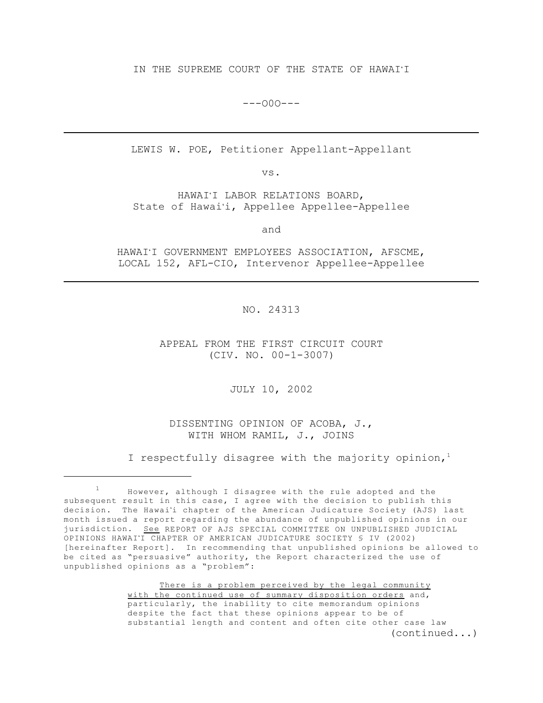IN THE SUPREME COURT OF THE STATE OF HAWAI'I

 $---000---$ 

LEWIS W. POE, Petitioner Appellant-Appellant

vs.

HAWAI'I LABOR RELATIONS BOARD, State of Hawai'i, Appellee Appellee-Appellee

and

HAWAI'I GOVERNMENT EMPLOYEES ASSOCIATION, AFSCME, LOCAL 152, AFL-CIO, Intervenor Appellee-Appellee

NO. 24313

APPEAL FROM THE FIRST CIRCUIT COURT (CIV. NO. 00-1-3007)

JULY 10, 2002

DISSENTING OPINION OF ACOBA, J., WITH WHOM RAMIL, J., JOINS

I respectfully disagree with the majority opinion,<sup>1</sup>

There is a problem perceived by the legal community with the continued use of summary disposition orders and, particularly, the inability to cite memorandum opinions despite the fact that these opinions appear to be of substantial length and content and often cite other case law (continued...)

<sup>1</sup> However, although I disagree with the rule adopted and the subsequent result in this case, I agree with the decision to publish this decision. The Hawai'i chapter of the American Judicature Society (AJS) last month issued a report regarding the abundance of unpublished opinions in our jurisdiction. See REPORT OF AJS SPECIAL COMMITTEE ON UNPUBLISHED JUDICIAL OPINIONS HAWAI'I CHAPTER OF AMERICAN JUDICATURE SOCIETY § IV (2002) [hereinafter Report]. In recommending that unpublished opinions be allowed to be cited as "persuasive" authority, the Report characterized the use of unpublished opinions as a "problem":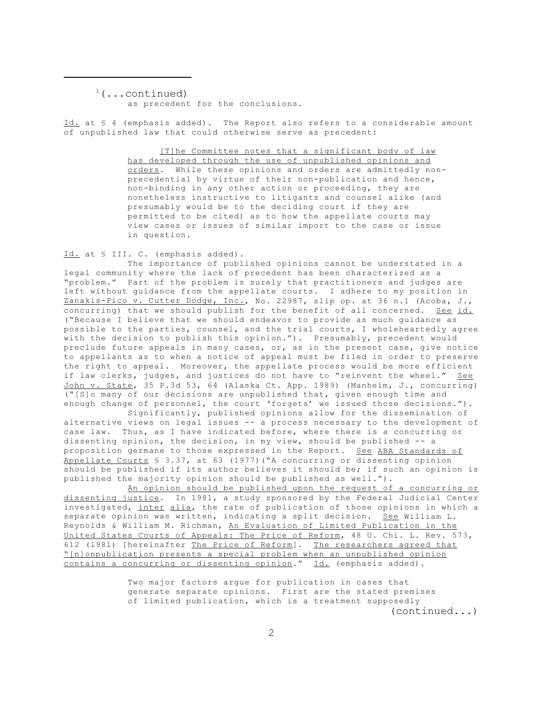$<sup>1</sup>(...continued)$ </sup>

as precedent for the conclusions.

Id. at § 4 (emphasis added). The Report also refers to a considerable amount of unpublished law that could otherwise serve as precedent:

> [T]he Committee notes that a significant body of law has developed through the use of unpublished opinions and orders. While these opinions and orders are admittedly nonprecedential by virtue of their non-publication and hence, non-binding in any other action or proceeding, they are nonetheless instructive to litigants and counsel alike (and presumably would be to the deciding court if they are permitted to be cited) as to how the appellate courts may view cases or issues of similar import to the case or issue in question.

Id. at § III. C. (emphasis added).

The importance of published opinions cannot be understated in a legal community where the lack of precedent has been characterized as a "problem." Part of the problem is surely that practitioners and judges are left without guidance from the appellate courts. I adhere to my position in Zanakis-Pico v. Cutter Dodge, Inc., No. 22987, slip op. at 36 n.1 (Acoba, J., concurring) that we should publish for the benefit of all concerned. See id. ("Because I believe that we should endeavor to provide as much guidance as possible to the parties, counsel, and the trial courts, I wholeheartedly agree with the decision to publish this opinion."). Presumably, precedent would preclude future appeals in many cases, or, as in the present case, give notice to appellants as to when a notice of appeal must be filed in order to preserve the right to appeal. Moreover, the appellate process would be more efficient if law clerks, judges, and justices do not have to "reinvent the wheel." See John v. State, 35 P.3d 53, 64 (Alaska Ct. App. 1989) (Manheim, J., concurring) ("[S]o many of our decisions are unpublished that, given enough time and enough change of personnel, the court 'forgets' we issued those decisions.").

Significantly, published opinions allow for the dissemination of alternative views on legal issues -- a process necessary to the development of case law. Thus, as I have indicated before, where there is a concurring or dissenting opinion, the decision, in my view, should be published -- a proposition germane to those expressed in the Report. See ABA Standards of Appellate Courts § 3.37, at 63 (1977)("A concurring or dissenting opinion should be published if its author believes it should be; if such an opinion is published the majority opinion should be published as well.").

An opinion should be published upon the request of a concurring or dissenting justice. In 1981, a study sponsored by the Federal Judicial Center investigated, inter alia, the rate of publication of those opinions in which a separate opinion was written, indicating a split decision. See William L. Reynolds & William M. Richman, An Evaluation of Limited Publication in the United States Courts of Appeals: The Price of Reform, 48 U. Chi. L. Rev. 573, 612 (1981) [hereinafter The Price of Reform]. The researchers agreed that "[n]onpublication presents a special problem when an unpublished opinion contains a concurring or dissenting opinion." Id. (emphasis added).

> Two major factors argue for publication in cases that generate separate opinions. First are the stated premises of limited publication, which is a treatment supposedly (continued...)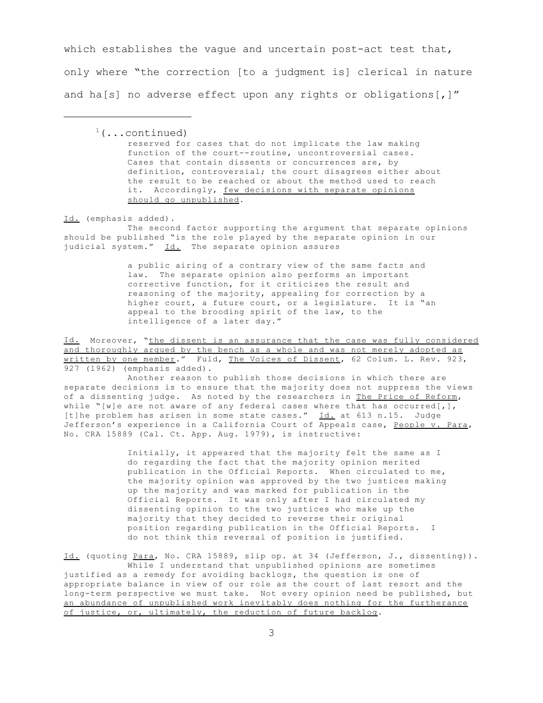which establishes the vague and uncertain post-act test that, only where "the correction [to a judgment is] clerical in nature and ha[s] no adverse effect upon any rights or obligations[,]"

 $1$ (...continued) reserved for cases that do not implicate the law making function of the court--routine, uncontroversial cases. Cases that contain dissents or concurrences are, by definition, controversial; the court disagrees either about the result to be reached or about the method used to reach it. Accordingly, few decisions with separate opinions should go unpublished.

Id. (emphasis added).

The second factor supporting the argument that separate opinions should be published "is the role played by the separate opinion in our judicial system." Id. The separate opinion assures

> a public airing of a contrary view of the same facts and law. The separate opinion also performs an important corrective function, for it criticizes the result and reasoning of the majority, appealing for correction by a higher court, a future court, or a legislature. It is "an appeal to the brooding spirit of the law, to the intelligence of a later day."

Id. Moreover, "the dissent is an assurance that the case was fully considered and thoroughly argued by the bench as a whole and was not merely adopted as written by one member." Fuld, The Voices of Dissent, 62 Colum. L. Rev. 923, 927 (1962) (emphasis added).

Another reason to publish those decisions in which there are separate decisions is to ensure that the majority does not suppress the views of a dissenting judge. As noted by the researchers in The Price of Reform, while "[w]e are not aware of any federal cases where that has occurred[,], [t]he problem has arisen in some state cases."  $\underline{Id.}$  at 613 n.15. Judge Jefferson's experience in a California Court of Appeals case, People v. Para, No. CRA 15889 (Cal. Ct. App. Aug. 1979), is instructive:

> Initially, it appeared that the majority felt the same as I do regarding the fact that the majority opinion merited publication in the Official Reports. When circulated to me, the majority opinion was approved by the two justices making up the majority and was marked for publication in the Official Reports. It was only after I had circulated my dissenting opinion to the two justices who make up the majority that they decided to reverse their original position regarding publication in the Official Reports. I do not think this reversal of position is justified.

Id. (quoting Para, No. CRA 15889, slip op. at 34 (Jefferson, J., dissenting)). While I understand that unpublished opinions are sometimes justified as a remedy for avoiding backlogs, the question is one of appropriate balance in view of our role as the court of last resort and the long-term perspective we must take. Not every opinion need be published, but an abundance of unpublished work inevitably does nothing for the furtherance of justice, or, ultimately, the reduction of future backlog.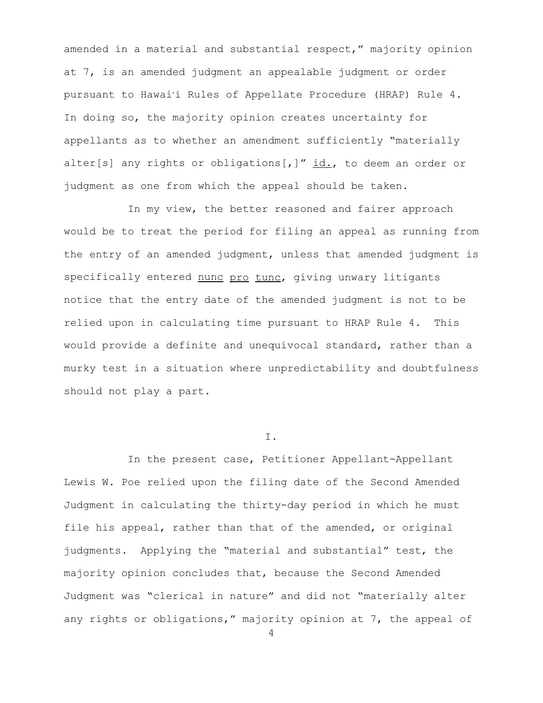amended in a material and substantial respect," majority opinion at 7, is an amended judgment an appealable judgment or order pursuant to Hawai'i Rules of Appellate Procedure (HRAP) Rule 4. In doing so, the majority opinion creates uncertainty for appellants as to whether an amendment sufficiently "materially alter[s] any rights or obligations[,]"  $id.$ , to deem an order or judgment as one from which the appeal should be taken.

In my view, the better reasoned and fairer approach would be to treat the period for filing an appeal as running from the entry of an amended judgment, unless that amended judgment is specifically entered nunc pro tunc, giving unwary litigants notice that the entry date of the amended judgment is not to be relied upon in calculating time pursuant to HRAP Rule 4. This would provide a definite and unequivocal standard, rather than a murky test in a situation where unpredictability and doubtfulness should not play a part.

I.

In the present case, Petitioner Appellant-Appellant Lewis W. Poe relied upon the filing date of the Second Amended Judgment in calculating the thirty-day period in which he must file his appeal, rather than that of the amended, or original judgments. Applying the "material and substantial" test, the majority opinion concludes that, because the Second Amended Judgment was "clerical in nature" and did not "materially alter any rights or obligations," majority opinion at 7, the appeal of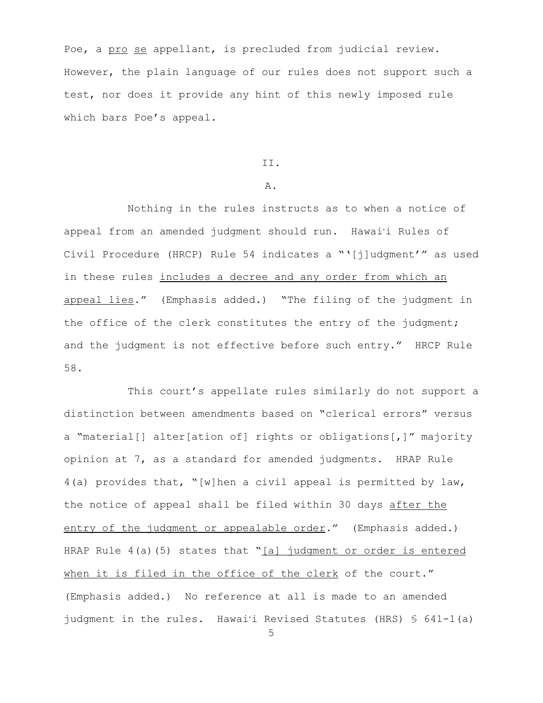Poe, a pro se appellant, is precluded from judicial review. However, the plain language of our rules does not support such a test, nor does it provide any hint of this newly imposed rule which bars Poe's appeal.

## II.

## A.

Nothing in the rules instructs as to when a notice of appeal from an amended judgment should run. Hawai'i Rules of Civil Procedure (HRCP) Rule 54 indicates a "'[j]udgment'" as used in these rules includes a decree and any order from which an appeal lies." (Emphasis added.) "The filing of the judgment in the office of the clerk constitutes the entry of the judgment; and the judgment is not effective before such entry." HRCP Rule 58.

This court's appellate rules similarly do not support a distinction between amendments based on "clerical errors" versus a "material[] alter[ation of] rights or obligations[,]" majority opinion at 7, as a standard for amended judgments. HRAP Rule 4(a) provides that, "[w]hen a civil appeal is permitted by law, the notice of appeal shall be filed within 30 days after the entry of the judgment or appealable order." (Emphasis added.) HRAP Rule  $4(a)(5)$  states that " $[a]$  judgment or order is entered when it is filed in the office of the clerk of the court." (Emphasis added.) No reference at all is made to an amended judgment in the rules. Hawai'i Revised Statutes (HRS)  $\frac{1}{5}$  641-1(a)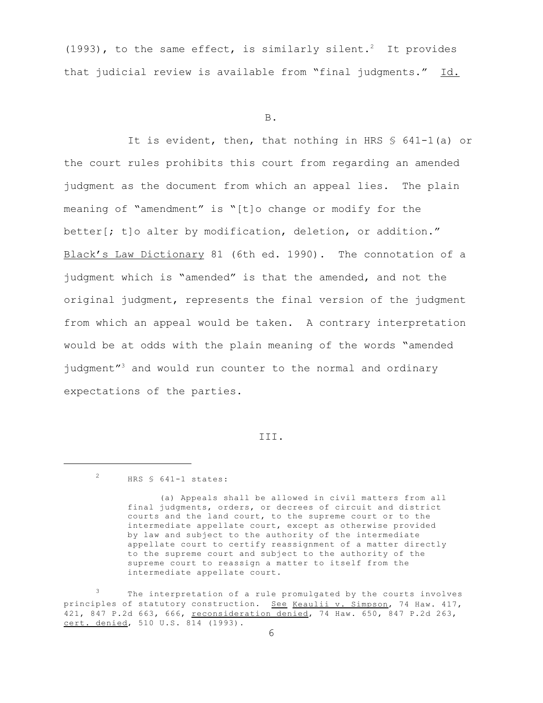(1993), to the same effect, is similarly silent.<sup>2</sup> It provides that judicial review is available from "final judgments." Id.

B.

It is evident, then, that nothing in HRS  $\frac{1}{5}$  641-1(a) or the court rules prohibits this court from regarding an amended judgment as the document from which an appeal lies. The plain meaning of "amendment" is "[t]o change or modify for the better[; t]o alter by modification, deletion, or addition." Black's Law Dictionary 81 (6th ed. 1990). The connotation of a judgment which is "amended" is that the amended, and not the original judgment, represents the final version of the judgment from which an appeal would be taken. A contrary interpretation would be at odds with the plain meaning of the words "amended judgment"<sup>3</sup> and would run counter to the normal and ordinary expectations of the parties.

III.

<sup>2</sup> HRS § 641-1 states:

<sup>(</sup>a) Appeals shall be allowed in civil matters from all final judgments, orders, or decrees of circuit and district courts and the land court, to the supreme court or to the intermediate appellate court, except as otherwise provided by law and subject to the authority of the intermediate appellate court to certify reassignment of a matter directly to the supreme court and subject to the authority of the supreme court to reassign a matter to itself from the intermediate appellate court.

<sup>3</sup> The interpretation of a rule promulgated by the courts involves principles of statutory construction. See Keaulii v. Simpson, 74 Haw. 417, 421, 847 P.2d 663, 666, reconsideration denied, 74 Haw. 650, 847 P.2d 263, cert. denied, 510 U.S. 814 (1993).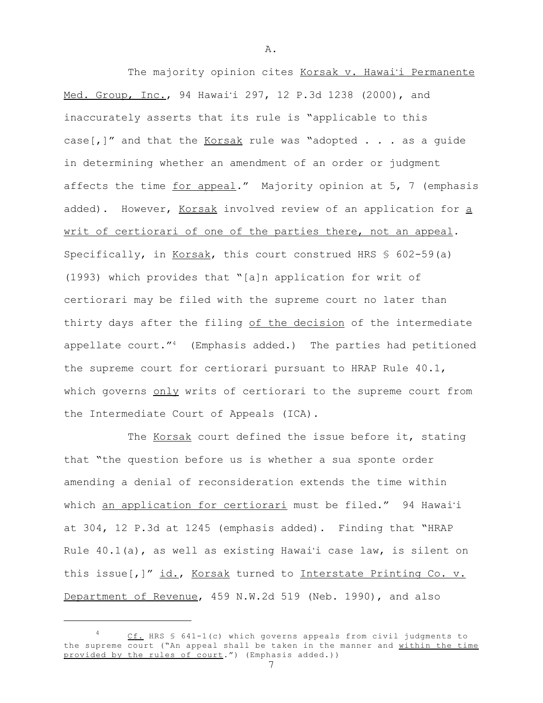The majority opinion cites Korsak v. Hawai'i Permanente Med. Group, Inc., 94 Hawai'i 297, 12 P.3d 1238 (2000), and inaccurately asserts that its rule is "applicable to this case[,]" and that the  $Korsak$  rule was "adopted  $\ldots$  as a guide in determining whether an amendment of an order or judgment affects the time for appeal." Majority opinion at 5, 7 (emphasis added). However, Korsak involved review of an application for a writ of certiorari of one of the parties there, not an appeal. Specifically, in Korsak, this court construed HRS  $\S$  602-59(a) (1993) which provides that "[a]n application for writ of certiorari may be filed with the supreme court no later than thirty days after the filing of the decision of the intermediate appellate court." $4$  (Emphasis added.) The parties had petitioned the supreme court for certiorari pursuant to HRAP Rule 40.1, which governs only writs of certiorari to the supreme court from the Intermediate Court of Appeals (ICA).

The Korsak court defined the issue before it, stating that "the question before us is whether a sua sponte order amending a denial of reconsideration extends the time within which an application for certiorari must be filed." 94 Hawai'i at 304, 12 P.3d at 1245 (emphasis added). Finding that "HRAP Rule  $40.1(a)$ , as well as existing Hawai'i case law, is silent on this issue[,]" id., Korsak turned to Interstate Printing Co. v. Department of Revenue, 459 N.W.2d 519 (Neb. 1990), and also

<sup>4</sup> Cf. HRS § 641-1(c) which governs appeals from civil judgments to the supreme court ("An appeal shall be taken in the manner and within the time provided by the rules of court.") (Emphasis added.)) 7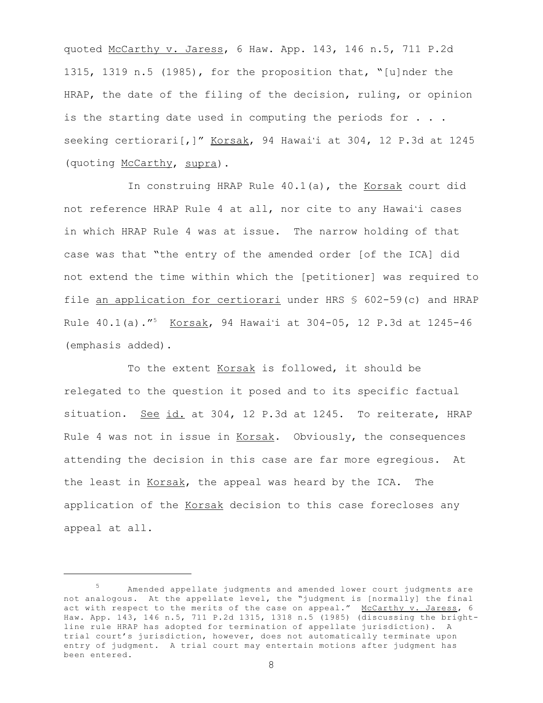quoted McCarthy v. Jaress, 6 Haw. App. 143, 146 n.5, 711 P.2d 1315, 1319 n.5 (1985), for the proposition that, "[u]nder the HRAP, the date of the filing of the decision, ruling, or opinion is the starting date used in computing the periods for  $\ldots$ . seeking certiorari[,]" Korsak, 94 Hawai'i at 304, 12 P.3d at 1245 (quoting McCarthy, supra).

In construing HRAP Rule  $40.1(a)$ , the Korsak court did not reference HRAP Rule 4 at all, nor cite to any Hawai'i cases in which HRAP Rule 4 was at issue. The narrow holding of that case was that "the entry of the amended order [of the ICA] did not extend the time within which the [petitioner] was required to file an application for certiorari under HRS § 602-59(c) and HRAP Rule 40.1(a)."<sup>5</sup> Korsak, 94 Hawai'i at 304-05, 12 P.3d at 1245-46 (emphasis added).

To the extent Korsak is followed, it should be relegated to the question it posed and to its specific factual situation. See id. at 304, 12 P.3d at 1245. To reiterate, HRAP Rule 4 was not in issue in Korsak. Obviously, the consequences attending the decision in this case are far more egregious. At the least in Korsak, the appeal was heard by the ICA. The application of the Korsak decision to this case forecloses any appeal at all.

<sup>5</sup> Amended appellate judgments and amended lower court judgments are not analogous. At the appellate level, the "judgment is [normally] the final act with respect to the merits of the case on appeal." McCarthy v. Jaress, 6 Haw. App. 143, 146 n.5, 711 P.2d 1315, 1318 n.5 (1985) (discussing the brightline rule HRAP has adopted for termination of appellate jurisdiction). A trial court's jurisdiction, however, does not automatically terminate upon entry of judgment. A trial court may entertain motions after judgment has been entered.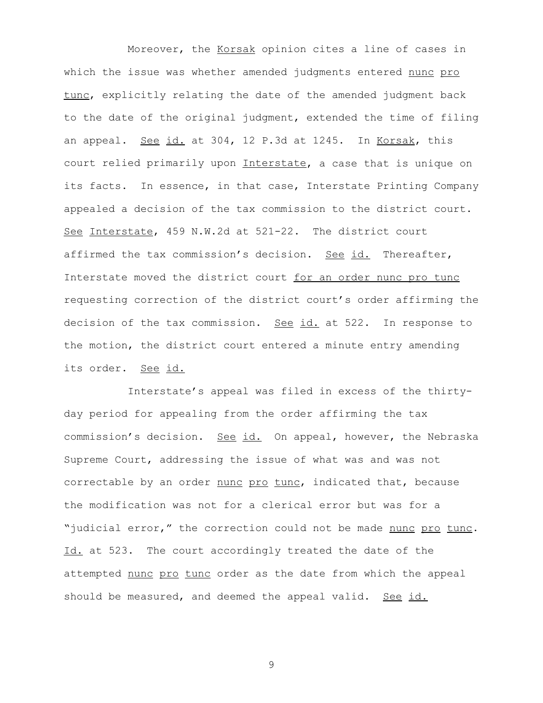Moreover, the Korsak opinion cites a line of cases in which the issue was whether amended judgments entered nunc pro tunc, explicitly relating the date of the amended judgment back to the date of the original judgment, extended the time of filing an appeal. See id. at 304, 12 P.3d at 1245. In Korsak, this court relied primarily upon Interstate, a case that is unique on its facts. In essence, in that case, Interstate Printing Company appealed a decision of the tax commission to the district court. See Interstate, 459 N.W.2d at 521-22. The district court affirmed the tax commission's decision. See id. Thereafter, Interstate moved the district court for an order nunc pro tunc requesting correction of the district court's order affirming the decision of the tax commission. See id. at 522. In response to the motion, the district court entered a minute entry amending its order. See id.

Interstate's appeal was filed in excess of the thirtyday period for appealing from the order affirming the tax commission's decision. See id. On appeal, however, the Nebraska Supreme Court, addressing the issue of what was and was not correctable by an order nunc pro tunc, indicated that, because the modification was not for a clerical error but was for a "judicial error," the correction could not be made nunc pro tunc. Id. at 523. The court accordingly treated the date of the attempted nunc pro tunc order as the date from which the appeal should be measured, and deemed the appeal valid. See id.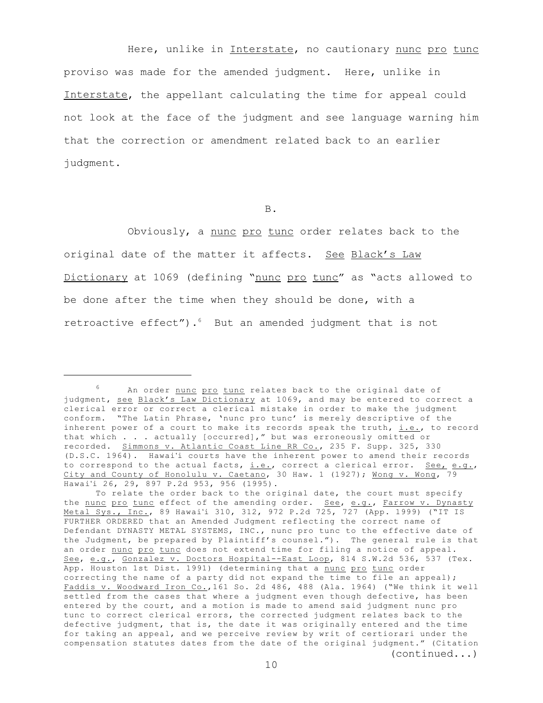Here, unlike in Interstate, no cautionary nunc pro tunc proviso was made for the amended judgment. Here, unlike in Interstate, the appellant calculating the time for appeal could not look at the face of the judgment and see language warning him that the correction or amendment related back to an earlier judgment.

B.

Obviously, a <u>nunc pro tunc</u> order relates back to the original date of the matter it affects. See Black's Law Dictionary at 1069 (defining "nunc pro tunc" as "acts allowed to be done after the time when they should be done, with a retroactive effect"). $6$  But an amended judgment that is not

<sup>6</sup> An order nunc pro tunc relates back to the original date of judgment, see Black's Law Dictionary at 1069, and may be entered to correct a clerical error or correct a clerical mistake in order to make the judgment conform. "The Latin Phrase, 'nunc pro tunc' is merely descriptive of the inherent power of a court to make its records speak the truth, *i.e.*, to record that which . . . actually [occurred]," but was erroneously omitted or recorded. Simmons v. Atlantic Coast Line RR Co., 235 F. Supp. 325, 330 (D.S.C. 1964). Hawai'i courts have the inherent power to amend their records to correspond to the actual facts, *i.e.*, correct a clerical error. See, e.g., City and County of Honolulu v. Caetano, 30 Haw. 1 (1927); Wong v. Wong, 79 Hawai'i 26, 29, 897 P.2d 953, 956 (1995).

To relate the order back to the original date, the court must specify the nunc pro tunc effect of the amending order. See, e.g., Farrow v. Dynasty Metal Sys., Inc., 89 Hawai'i 310, 312, 972 P.2d 725, 727 (App. 1999) ("IT IS FURTHER ORDERED that an Amended Judgment reflecting the correct name of Defendant DYNASTY METAL SYSTEMS, INC., nunc pro tunc to the effective date of the Judgment, be prepared by Plaintiff's counsel."). The general rule is that an order nunc pro tunc does not extend time for filing a notice of appeal. See, e.g., Gonzalez v. Doctors Hospital--East Loop, 814 S.W.2d 536, 537 (Tex. App. Houston 1st Dist. 1991) (determining that a nunc pro tunc order correcting the name of a party did not expand the time to file an appeal); Faddis v. Woodward Iron Co.,161 So. 2d 486, 488 (Ala. 1964) ("We think it well settled from the cases that where a judgment even though defective, has been entered by the court, and a motion is made to amend said judgment nunc pro tunc to correct clerical errors, the corrected judgment relates back to the defective judgment, that is, the date it was originally entered and the time for taking an appeal, and we perceive review by writ of certiorari under the compensation statutes dates from the date of the original judgment." (Citation (continued...)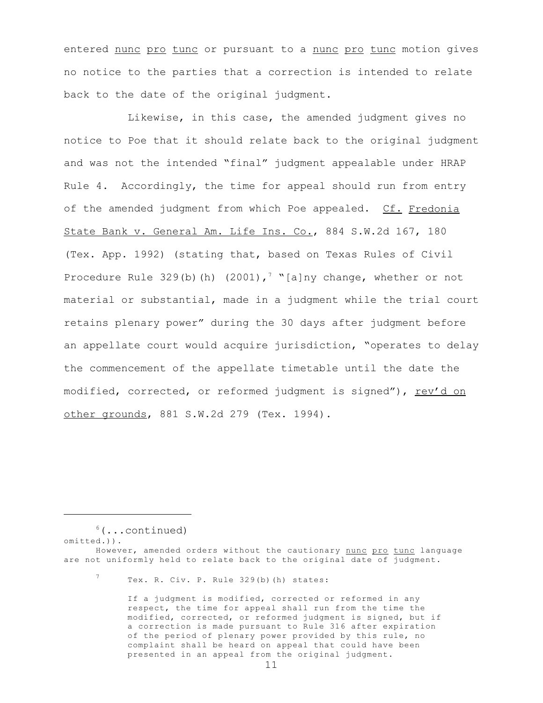entered nunc pro tunc or pursuant to a nunc pro tunc motion gives no notice to the parties that a correction is intended to relate back to the date of the original judgment.

Likewise, in this case, the amended judgment gives no notice to Poe that it should relate back to the original judgment and was not the intended "final" judgment appealable under HRAP Rule 4. Accordingly, the time for appeal should run from entry of the amended judgment from which Poe appealed. Cf. Fredonia State Bank v. General Am. Life Ins. Co., 884 S.W.2d 167, 180 (Tex. App. 1992) (stating that, based on Texas Rules of Civil Procedure Rule 329(b)(h) (2001),<sup>7</sup> "[a]ny change, whether or not material or substantial, made in a judgment while the trial court retains plenary power" during the 30 days after judgment before an appellate court would acquire jurisdiction, "operates to delay the commencement of the appellate timetable until the date the modified, corrected, or reformed judgment is signed"), rev'd on other grounds, 881 S.W.2d 279 (Tex. 1994).

 $6(\ldots \text{continued})$ omitted.)).

If a judgment is modified, corrected or reformed in any respect, the time for appeal shall run from the time the modified, corrected, or reformed judgment is signed, but if a correction is made pursuant to Rule 316 after expiration of the period of plenary power provided by this rule, no complaint shall be heard on appeal that could have been presented in an appeal from the original judgment.

However, amended orders without the cautionary nunc pro tunc language are not uniformly held to relate back to the original date of judgment.

<sup>7</sup> Tex. R. Civ. P. Rule 329(b)(h) states: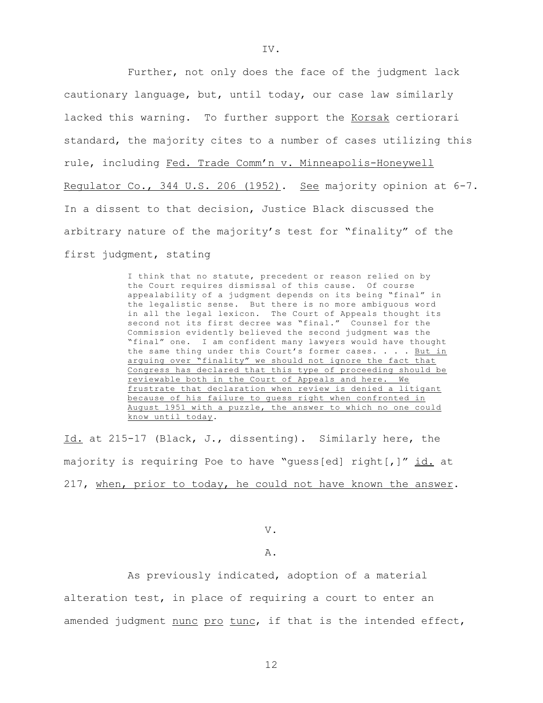Further, not only does the face of the judgment lack cautionary language, but, until today, our case law similarly lacked this warning. To further support the Korsak certiorari standard, the majority cites to a number of cases utilizing this rule, including Fed. Trade Comm'n v. Minneapolis-Honeywell Regulator Co., 344 U.S. 206 (1952). See majority opinion at 6-7. In a dissent to that decision, Justice Black discussed the arbitrary nature of the majority's test for "finality" of the first judgment, stating

> I think that no statute, precedent or reason relied on by the Court requires dismissal of this cause. Of course appealability of a judgment depends on its being "final" in the legalistic sense. But there is no more ambiguous word in all the legal lexicon. The Court of Appeals thought its second not its first decree was "final." Counsel for the Commission evidently believed the second judgment was the "final" one. I am confident many lawyers would have thought the same thing under this Court's former cases. . . . But in arguing over "finality" we should not ignore the fact that Congress has declared that this type of proceeding should be reviewable both in the Court of Appeals and here. We frustrate that declaration when review is denied a litigant because of his failure to guess right when confronted in August 1951 with a puzzle, the answer to which no one could know until today.

Id. at 215-17 (Black, J., dissenting). Similarly here, the majority is requiring Poe to have "guess[ed] right[,]" id. at 217, when, prior to today, he could not have known the answer.

V.

## A.

As previously indicated, adoption of a material alteration test, in place of requiring a court to enter an amended judgment nunc pro tunc, if that is the intended effect,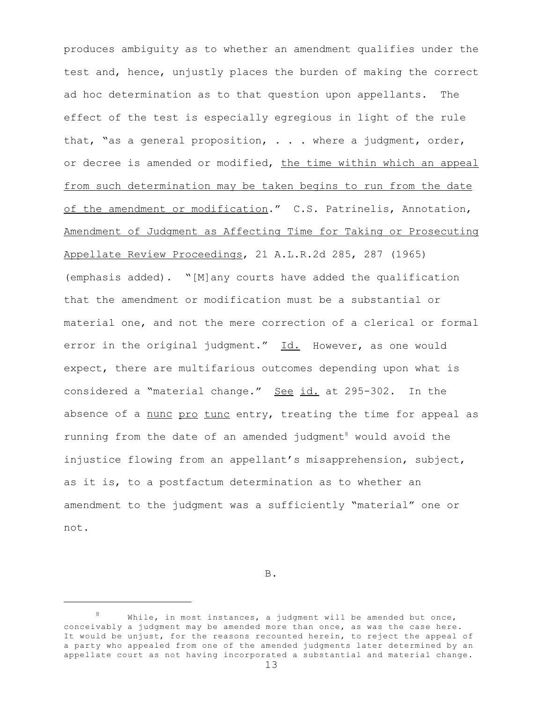produces ambiguity as to whether an amendment qualifies under the test and, hence, unjustly places the burden of making the correct ad hoc determination as to that question upon appellants. The effect of the test is especially egregious in light of the rule that, "as a general proposition, . . . where a judgment, order, or decree is amended or modified, the time within which an appeal from such determination may be taken begins to run from the date of the amendment or modification." C.S. Patrinelis, Annotation, Amendment of Judgment as Affecting Time for Taking or Prosecuting Appellate Review Proceedings, 21 A.L.R.2d 285, 287 (1965) (emphasis added). "[M]any courts have added the qualification that the amendment or modification must be a substantial or material one, and not the mere correction of a clerical or formal error in the original judgment." Id. However, as one would expect, there are multifarious outcomes depending upon what is considered a "material change." See id. at 295-302. In the absence of a nunc pro tunc entry, treating the time for appeal as running from the date of an amended judgment<sup>8</sup> would avoid the injustice flowing from an appellant's misapprehension, subject, as it is, to a postfactum determination as to whether an amendment to the judgment was a sufficiently "material" one or not.

B.

<sup>8</sup> While, in most instances, a judgment will be amended but once, conceivably a judgment may be amended more than once, as was the case here. It would be unjust, for the reasons recounted herein, to reject the appeal of a party who appealed from one of the amended judgments later determined by an appellate court as not having incorporated a substantial and material change.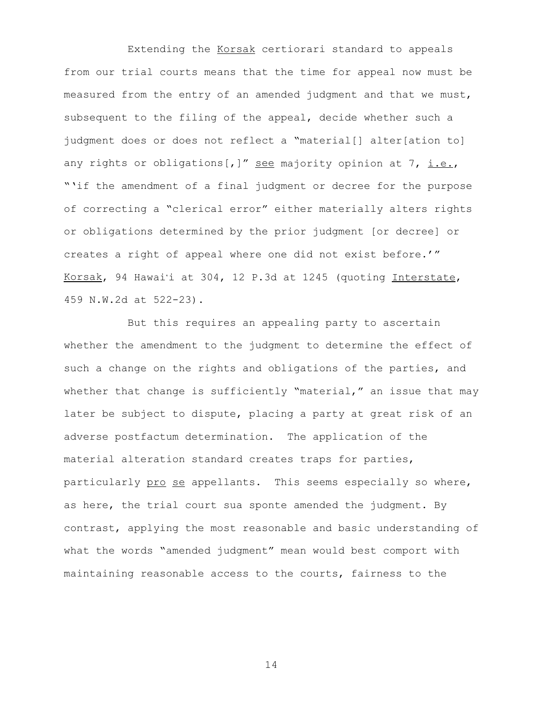Extending the Korsak certiorari standard to appeals from our trial courts means that the time for appeal now must be measured from the entry of an amended judgment and that we must, subsequent to the filing of the appeal, decide whether such a judgment does or does not reflect a "material[] alter[ation to] any rights or obligations[,]" see majority opinion at 7, i.e., "'if the amendment of a final judgment or decree for the purpose of correcting a "clerical error" either materially alters rights or obligations determined by the prior judgment [or decree] or creates a right of appeal where one did not exist before.'" Korsak, 94 Hawai'i at 304, 12 P.3d at 1245 (quoting Interstate, 459 N.W.2d at 522-23).

But this requires an appealing party to ascertain whether the amendment to the judgment to determine the effect of such a change on the rights and obligations of the parties, and whether that change is sufficiently "material," an issue that may later be subject to dispute, placing a party at great risk of an adverse postfactum determination. The application of the material alteration standard creates traps for parties, particularly pro se appellants. This seems especially so where, as here, the trial court sua sponte amended the judgment. By contrast, applying the most reasonable and basic understanding of what the words "amended judgment" mean would best comport with maintaining reasonable access to the courts, fairness to the